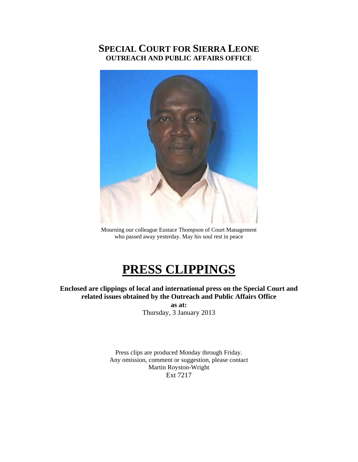## **SPECIAL COURT FOR SIERRA LEONE OUTREACH AND PUBLIC AFFAIRS OFFICE**



Mourning our colleague Eustace Thompson of Court Management who passed away yesterday. May his soul rest in peace

# **PRESS CLIPPINGS**

**Enclosed are clippings of local and international press on the Special Court and related issues obtained by the Outreach and Public Affairs Office as at:**  Thursday, 3 January 2013

> Press clips are produced Monday through Friday. Any omission, comment or suggestion, please contact Martin Royston-Wright Ext 7217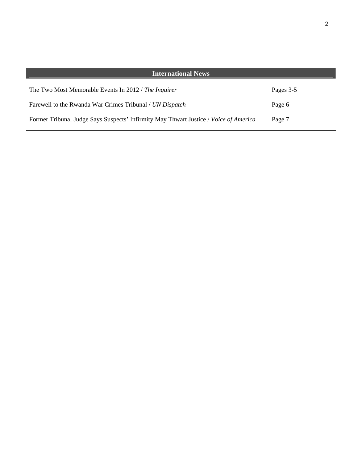| <b>International News</b>                                                            |           |
|--------------------------------------------------------------------------------------|-----------|
| The Two Most Memorable Events In 2012 / The Inquirer                                 | Pages 3-5 |
| Farewell to the Rwanda War Crimes Tribunal / UN Dispatch                             | Page 6    |
| Former Tribunal Judge Says Suspects' Infirmity May Thwart Justice / Voice of America | Page 7    |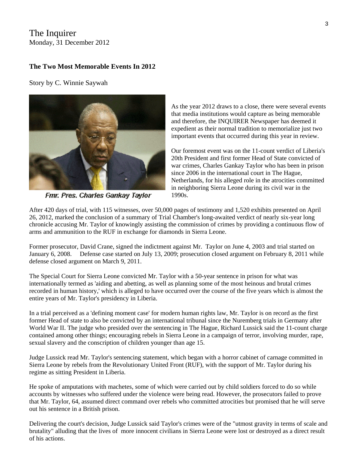#### The Inquirer Monday, 31 December 2012

#### **The Two Most Memorable Events In 2012**

Story by C. Winnie Saywah



Fmr. Pres. Charles Gankay Taylor

As the year 2012 draws to a close, there were several events that media institutions would capture as being memorable and therefore, the INQUIRER Newspaper has deemed it expedient as their normal tradition to memorialize just two important events that occurred during this year in review.

Our foremost event was on the 11-count verdict of Liberia's 20th President and first former Head of State convicted of war crimes, Charles Gankay Taylor who has been in prison since 2006 in the international court in The Hague, Netherlands, for his alleged role in the atrocities committed in neighboring Sierra Leone during its civil war in the 1990s.

After 420 days of trial, with 115 witnesses, over 50,000 pages of testimony and 1,520 exhibits presented on April 26, 2012, marked the conclusion of a summary of Trial Chamber's long-awaited verdict of nearly six-year long chronicle accusing Mr. Taylor of knowingly assisting the commission of crimes by providing a continuous flow of arms and ammunition to the RUF in exchange for diamonds in Sierra Leone.

Former prosecutor, David Crane, signed the indictment against Mr. Taylor on June 4, 2003 and trial started on January 6, 2008. Defense case started on July 13, 2009; prosecution closed argument on February 8, 2011 while defense closed argument on March 9, 2011.

The Special Court for Sierra Leone convicted Mr. Taylor with a 50-year sentence in prison for what was internationally termed as 'aiding and abetting, as well as planning some of the most heinous and brutal crimes recorded in human history,' which is alleged to have occurred over the course of the five years which is almost the entire years of Mr. Taylor's presidency in Liberia.

In a trial perceived as a 'defining moment case' for modern human rights law, Mr. Taylor is on record as the first former Head of state to also be convicted by an international tribunal since the Nuremberg trials in Germany after World War II. The judge who presided over the sentencing in The Hague, Richard Lussick said the 11-count charge contained among other things; encouraging rebels in Sierra Leone in a campaign of terror, involving murder, rape, sexual slavery and the conscription of children younger than age 15.

Judge Lussick read Mr. Taylor's sentencing statement, which began with a horror cabinet of carnage committed in Sierra Leone by rebels from the Revolutionary United Front (RUF), with the support of Mr. Taylor during his regime as sitting President in Liberia.

He spoke of amputations with machetes, some of which were carried out by child soldiers forced to do so while accounts by witnesses who suffered under the violence were being read. However, the prosecutors failed to prove that Mr. Taylor, 64, assumed direct command over rebels who committed atrocities but promised that he will serve out his sentence in a British prison.

Delivering the court's decision, Judge Lussick said Taylor's crimes were of the "utmost gravity in terms of scale and brutality" alluding that the lives of more innocent civilians in Sierra Leone were lost or destroyed as a direct result of his actions.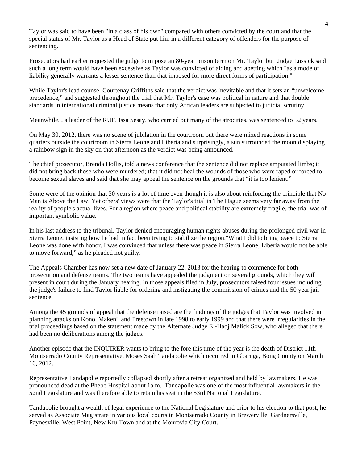Taylor was said to have been "in a class of his own" compared with others convicted by the court and that the special status of Mr. Taylor as a Head of State put him in a different category of offenders for the purpose of sentencing.

Prosecutors had earlier requested the judge to impose an 80-year prison term on Mr. Taylor but Judge Lussick said such a long term would have been excessive as Taylor was convicted of aiding and abetting which "as a mode of liability generally warrants a lesser sentence than that imposed for more direct forms of participation."

While Taylor's lead counsel Courtenay Griffiths said that the verdict was inevitable and that it sets an "unwelcome precedence," and suggested throughout the trial that Mr. Taylor's case was political in nature and that double standards in international criminal justice means that only African leaders are subjected to judicial scrutiny.

Meanwhile, , a leader of the RUF, Issa Sesay, who carried out many of the atrocities, was sentenced to 52 years.

On May 30, 2012, there was no scene of jubilation in the courtroom but there were mixed reactions in some quarters outside the courtroom in Sierra Leone and Liberia and surprisingly, a sun surrounded the moon displaying a rainbow sign in the sky on that afternoon as the verdict was being announced.

The chief prosecutor, Brenda Hollis, told a news conference that the sentence did not replace amputated limbs; it did not bring back those who were murdered; that it did not heal the wounds of those who were raped or forced to become sexual slaves and said that she may appeal the sentence on the grounds that "it is too lenient."

Some were of the opinion that 50 years is a lot of time even though it is also about reinforcing the principle that No Man is Above the Law. Yet others' views were that the Taylor's trial in The Hague seems very far away from the reality of people's actual lives. For a region where peace and political stability are extremely fragile, the trial was of important symbolic value.

In his last address to the tribunal, Taylor denied encouraging human rights abuses during the prolonged civil war in Sierra Leone, insisting how he had in fact been trying to stabilize the region."What I did to bring peace to Sierra Leone was done with honor. I was convinced that unless there was peace in Sierra Leone, Liberia would not be able to move forward," as he pleaded not guilty.

The Appeals Chamber has now set a new date of January 22, 2013 for the hearing to commence for both prosecution and defense teams. The two teams have appealed the judgment on several grounds, which they will present in court during the January hearing. In those appeals filed in July, prosecutors raised four issues including the judge's failure to find Taylor liable for ordering and instigating the commission of crimes and the 50 year jail sentence.

Among the 45 grounds of appeal that the defense raised are the findings of the judges that Taylor was involved in planning attacks on Kono, Makeni, and Freetown in late 1998 to early 1999 and that there were irregularities in the trial proceedings based on the statement made by the Alternate Judge El-Hadj Malick Sow, who alleged that there had been no deliberations among the judges.

Another episode that the INQUIRER wants to bring to the fore this time of the year is the death of District 11th Montserrado County Representative, Moses Saah Tandapolie which occurred in Gbarnga, Bong County on March 16, 2012.

Representative Tandapolie reportedly collapsed shortly after a retreat organized and held by lawmakers. He was pronounced dead at the Phebe Hospital about 1a.m. Tandapolie was one of the most influential lawmakers in the 52nd Legislature and was therefore able to retain his seat in the 53rd National Legislature.

Tandapolie brought a wealth of legal experience to the National Legislature and prior to his election to that post, he served as Associate Magistrate in various local courts in Montserrado County in Brewerville, Gardnersville, Paynesville, West Point, New Kru Town and at the Monrovia City Court.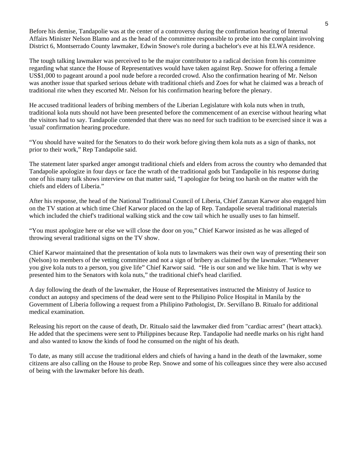Before his demise, Tandapolie was at the center of a controversy during the confirmation hearing of Internal Affairs Minister Nelson Blamo and as the head of the committee responsible to probe into the complaint involving District 6, Montserrado County lawmaker, Edwin Snowe's role during a bachelor's eve at his ELWA residence.

The tough talking lawmaker was perceived to be the major contributor to a radical decision from his committee regarding what stance the House of Representatives would have taken against Rep. Snowe for offering a female US\$1,000 to pageant around a pool nude before a recorded crowd. Also the confirmation hearing of Mr. Nelson was another issue that sparked serious debate with traditional chiefs and Zoes for what he claimed was a breach of traditional rite when they escorted Mr. Nelson for his confirmation hearing before the plenary.

He accused traditional leaders of bribing members of the Liberian Legislature with kola nuts when in truth, traditional kola nuts should not have been presented before the commencement of an exercise without hearing what the visitors had to say. Tandapolie contended that there was no need for such tradition to be exercised since it was a 'usual' confirmation hearing procedure.

"You should have waited for the Senators to do their work before giving them kola nuts as a sign of thanks, not prior to their work," Rep Tandapolie said.

The statement later sparked anger amongst traditional chiefs and elders from across the country who demanded that Tandapolie apologize in four days or face the wrath of the traditional gods but Tandapolie in his response during one of his many talk shows interview on that matter said, "I apologize for being too harsh on the matter with the chiefs and elders of Liberia."

After his response, the head of the National Traditional Council of Liberia, Chief Zanzan Karwor also engaged him on the TV station at which time Chief Karwor placed on the lap of Rep. Tandapolie several traditional materials which included the chief's traditional walking stick and the cow tail which he usually uses to fan himself.

"You must apologize here or else we will close the door on you," Chief Karwor insisted as he was alleged of throwing several traditional signs on the TV show.

Chief Karwor maintained that the presentation of kola nuts to lawmakers was their own way of presenting their son (Nelson) to members of the vetting committee and not a sign of bribery as claimed by the lawmaker. "Whenever you give kola nuts to a person, you give life" Chief Karwor said. "He is our son and we like him. That is why we presented him to the Senators with kola nuts," the traditional chief's head clarified.

A day following the death of the lawmaker, the House of Representatives instructed the Ministry of Justice to conduct an autopsy and specimens of the dead were sent to the Philipino Police Hospital in Manila by the Government of Liberia following a request from a Philipino Pathologist, Dr. Servillano B. Ritualo for additional medical examination.

Releasing his report on the cause of death, Dr. Ritualo said the lawmaker died from "cardiac arrest" (heart attack). He added that the specimens were sent to Philippines because Rep. Tandapolie had needle marks on his right hand and also wanted to know the kinds of food he consumed on the night of his death.

To date, as many still accuse the traditional elders and chiefs of having a hand in the death of the lawmaker, some citizens are also calling on the House to probe Rep. Snowe and some of his colleagues since they were also accused of being with the lawmaker before his death.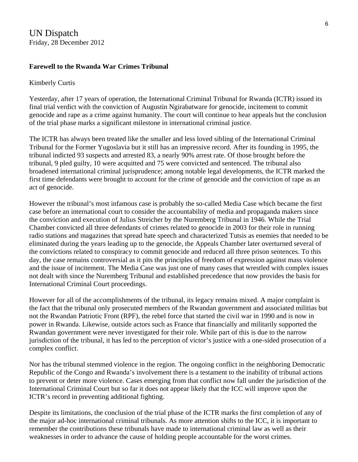#### **Farewell to the Rwanda War Crimes Tribunal**

#### Kimberly Curtis

Yesterday, after 17 years of operation, the International Criminal Tribunal for Rwanda (ICTR) issued its final trial verdict with the conviction of Augustin Ngirabatware for genocide, incitement to commit genocide and rape as a crime against humanity. The court will continue to hear appeals but the conclusion of the trial phase marks a significant milestone in international criminal justice.

The ICTR has always been treated like the smaller and less loved sibling of the International Criminal Tribunal for the Former Yugoslavia but it still has an impressive record. After its founding in 1995, the tribunal indicted 93 suspects and arrested 83, a nearly 90% arrest rate. Of those brought before the tribunal, 9 pled guilty, 10 were acquitted and 75 were convicted and sentenced. The tribunal also broadened international criminal jurisprudence; among notable legal developments, the ICTR marked the first time defendants were brought to account for the crime of genocide and the conviction of rape as an act of genocide.

However the tribunal's most infamous case is probably the so-called Media Case which became the first case before an international court to consider the accountability of media and propaganda makers since the conviction and execution of Julius Streicher by the Nuremberg Tribunal in 1946. While the Trial Chamber convicted all three defendants of crimes related to genocide in 2003 for their role in running radio stations and magazines that spread hate speech and characterized Tutsis as enemies that needed to be eliminated during the years leading up to the genocide, the Appeals Chamber later overturned several of the convictions related to conspiracy to commit genocide and reduced all three prison sentences. To this day, the case remains controversial as it pits the principles of freedom of expression against mass violence and the issue of incitement. The Media Case was just one of many cases that wrestled with complex issues not dealt with since the Nuremberg Tribunal and established precedence that now provides the basis for International Criminal Court proceedings.

However for all of the accomplishments of the tribunal, its legacy remains mixed. A major complaint is the fact that the tribunal only prosecuted members of the Rwandan government and associated militias but not the Rwandan Patriotic Front (RPF), the rebel force that started the civil war in 1990 and is now in power in Rwanda. Likewise, outside actors such as France that financially and militarily supported the Rwandan government were never investigated for their role. While part of this is due to the narrow jurisdiction of the tribunal, it has led to the perception of victor's justice with a one-sided prosecution of a complex conflict.

Nor has the tribunal stemmed violence in the region. The ongoing conflict in the neighboring Democratic Republic of the Congo and Rwanda's involvement there is a testament to the inability of tribunal actions to prevent or deter more violence. Cases emerging from that conflict now fall under the jurisdiction of the International Criminal Court but so far it does not appear likely that the ICC will improve upon the ICTR's record in preventing additional fighting.

Despite its limitations, the conclusion of the trial phase of the ICTR marks the first completion of any of the major ad-hoc international criminal tribunals. As more attention shifts to the ICC, it is important to remember the contributions these tribunals have made to international criminal law as well as their weaknesses in order to advance the cause of holding people accountable for the worst crimes.